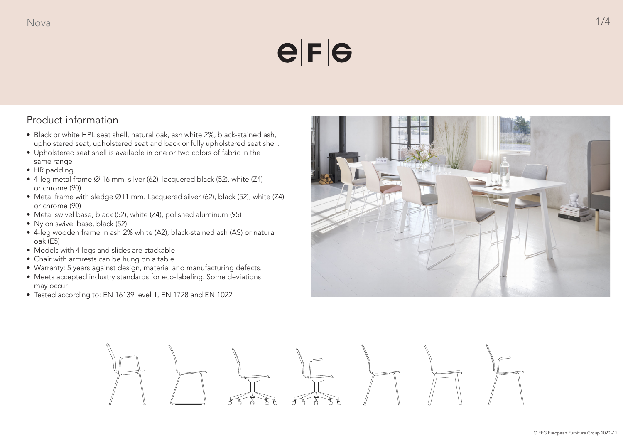### $e|F|G$

#### Product information

- Black or white HPL seat shell, natural oak, ash white 2%, black-stained ash, upholstered seat, upholstered seat and back or fully upholstered seat shell.
- Upholstered seat shell is available in one or two colors of fabric in the same range
- HR padding.
- 4-leg metal frame Ø 16 mm, silver (62), lacquered black (52), white (Z4) or chrome (90)
- Metal frame with sledge Ø11 mm. Lacquered silver (62), black (52), white (Z4) or chrome (90)
- Metal swivel base, black (52), white (Z4), polished aluminum (95)
- Nylon swivel base, black (52)
- 4-leg wooden frame in ash 2% white (A2), black-stained ash (AS) or natural oak (E5)
- Models with 4 legs and slides are stackable
- Chair with armrests can be hung on a table
- Warranty: 5 years against design, material and manufacturing defects.
- Meets accepted industry standards for eco-labeling. Some deviations may occur
- Tested according to: EN 16139 level 1, EN 1728 and EN 1022



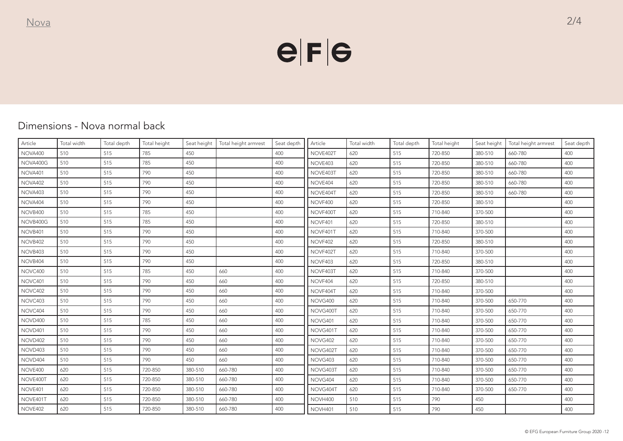## $e|F|e$

#### Dimensions - Nova normal back

| Article  | Total width | Total depth | Total height | Seat height | Total height armrest | Seat depth | Article  | Total width | Total depth | Total height | Seat height | Total height armrest | Seat depth |
|----------|-------------|-------------|--------------|-------------|----------------------|------------|----------|-------------|-------------|--------------|-------------|----------------------|------------|
| NOVA400  | 510         | 515         | 785          | 450         |                      | 400        | NOVE402T | 620         | 515         | 720-850      | 380-510     | 660-780              | 400        |
| NOVA400G | 510         | 515         | 785          | 450         |                      | 400        | NOVE403  | 620         | 515         | 720-850      | 380-510     | 660-780              | 400        |
| NOVA401  | 510         | 515         | 790          | 450         |                      | 400        | NOVE403T | 620         | 515         | 720-850      | 380-510     | 660-780              | 400        |
| NOVA402  | 510         | 515         | 790          | 450         |                      | 400        | NOVE404  | 620         | 515         | 720-850      | 380-510     | 660-780              | 400        |
| NOVA403  | 510         | 515         | 790          | 450         |                      | 400        | NOVE404T | 620         | 515         | 720-850      | 380-510     | 660-780              | 400        |
| NOVA404  | 510         | 515         | 790          | 450         |                      | 400        | NOVF400  | 620         | 515         | 720-850      | 380-510     |                      | 400        |
| NOVB400  | 510         | 515         | 785          | 450         |                      | 400        | NOVF400T | 620         | 515         | 710-840      | 370-500     |                      | 400        |
| NOVB400G | 510         | 515         | 785          | 450         |                      | 400        | NOVF401  | 620         | 515         | 720-850      | 380-510     |                      | 400        |
| NOVB401  | 510         | 515         | 790          | 450         |                      | 400        | NOVF401T | 620         | 515         | 710-840      | 370-500     |                      | 400        |
| NOVB402  | 510         | 515         | 790          | 450         |                      | 400        | NOVF402  | 620         | 515         | 720-850      | 380-510     |                      | 400        |
| NOVB403  | 510         | 515         | 790          | 450         |                      | 400        | NOVF402T | 620         | 515         | 710-840      | 370-500     |                      | 400        |
| NOVB404  | 510         | 515         | 790          | 450         |                      | 400        | NOVF403  | 620         | 515         | 720-850      | 380-510     |                      | 400        |
| NOVC400  | 510         | 515         | 785          | 450         | 660                  | 400        | NOVF403T | 620         | 515         | 710-840      | 370-500     |                      | 400        |
| NOVC401  | 510         | 515         | 790          | 450         | 660                  | 400        | NOVF404  | 620         | 515         | 720-850      | 380-510     |                      | 400        |
| NOVC402  | 510         | 515         | 790          | 450         | 660                  | 400        | NOVF404T | 620         | 515         | 710-840      | 370-500     |                      | 400        |
| NOVC403  | 510         | 515         | 790          | 450         | 660                  | 400        | NOVG400  | 620         | 515         | 710-840      | 370-500     | 650-770              | 400        |
| NOVC404  | 510         | 515         | 790          | 450         | 660                  | 400        | NOVG400T | 620         | 515         | 710-840      | 370-500     | 650-770              | 400        |
| NOVD400  | 510         | 515         | 785          | 450         | 660                  | 400        | NOVG401  | 620         | 515         | 710-840      | 370-500     | 650-770              | 400        |
| NOVD401  | 510         | 515         | 790          | 450         | 660                  | 400        | NOVG401T | 620         | 515         | 710-840      | 370-500     | 650-770              | 400        |
| NOVD402  | 510         | 515         | 790          | 450         | 660                  | 400        | NOVG402  | 620         | 515         | 710-840      | 370-500     | 650-770              | 400        |
| NOVD403  | 510         | 515         | 790          | 450         | 660                  | 400        | NOVG402T | 620         | 515         | 710-840      | 370-500     | 650-770              | 400        |
| NOVD404  | 510         | 515         | 790          | 450         | 660                  | 400        | NOVG403  | 620         | 515         | 710-840      | 370-500     | 650-770              | 400        |
| NOVE400  | 620         | 515         | 720-850      | 380-510     | 660-780              | 400        | NOVG403T | 620         | 515         | 710-840      | 370-500     | 650-770              | 400        |
| NOVE400T | 620         | 515         | 720-850      | 380-510     | 660-780              | 400        | NOVG404  | 620         | 515         | 710-840      | 370-500     | 650-770              | 400        |
| NOVE401  | 620         | 515         | 720-850      | 380-510     | 660-780              | 400        | NOVG404T | 620         | 515         | 710-840      | 370-500     | 650-770              | 400        |
| NOVE401T | 620         | 515         | 720-850      | 380-510     | 660-780              | 400        | NOVH400  | 510         | 515         | 790          | 450         |                      | 400        |
| NOVE402  | 620         | 515         | 720-850      | 380-510     | 660-780              | 400        | NOVH401  | 510         | 515         | 790          | 450         |                      | 400        |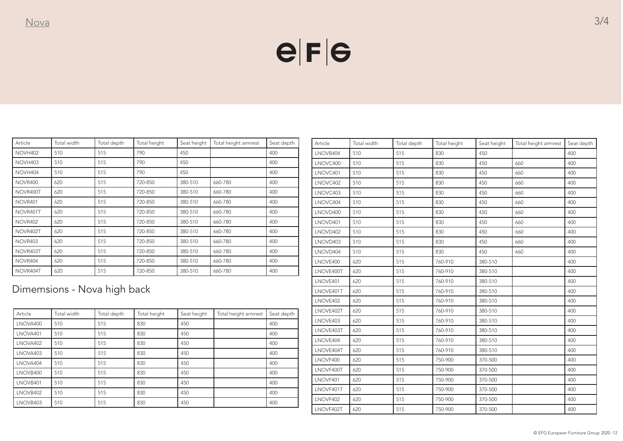## $e|F|e$

| Article        | Total width | Total depth | Total height | Seat height | Total height armrest | Seat depth |
|----------------|-------------|-------------|--------------|-------------|----------------------|------------|
| NOVH402        | 510         | 515         | 790          | 450         |                      | 400        |
| NOVH403        | 510         | 515         | 790          | 450         |                      | 400        |
| NOVH404        | 510         | 515         | 790          | 450         |                      | 400        |
| <b>NOVR400</b> | 620         | 515         | 720-850      | 380-510     | 660-780              | 400        |
| NOVR400T       | 620         | 515         | 720-850      | 380-510     | 660-780              | 400        |
| NOVR401        | 620         | 515         | 720-850      | 380-510     | 660-780              | 400        |
| NOVR401T       | 620         | 515         | 720-850      | 380-510     | 660-780              | 400        |
| NOVR402        | 620         | 515         | 720-850      | 380-510     | 660-780              | 400        |
| NOVR402T       | 620         | 515         | 720-850      | 380-510     | 660-780              | 400        |
| NOVR403        | 620         | 515         | 720-850      | 380-510     | 660-780              | 400        |
| NOVR403T       | 620         | 515         | 720-850      | 380-510     | 660-780              | 400        |
| NOVR404        | 620         | 515         | 720-850      | 380-510     | 660-780              | 400        |
| NOVR404T       | 620         | 515         | 720-850      | 380-510     | 660-780              | 400        |

Dimemsions - Nova high back

| Article  | Total width | Total depth | Total height | Seat height | Total height armrest | Seat depth |
|----------|-------------|-------------|--------------|-------------|----------------------|------------|
| LNOVA400 | 510         | 515         | 830          | 450         |                      | 400        |
| LNOVA401 | 510         | 515         | 830          | 450         |                      | 400        |
| LNOVA402 | 510         | 515         | 830          | 450         |                      | 400        |
| LNOVA403 | 510         | 515         | 830          | 450         |                      | 400        |
| LNOVA404 | 510         | 515         | 830          | 450         |                      | 400        |
| LNOVB400 | 510         | 515         | 830          | 450         |                      | 400        |
| LNOVB401 | 510         | 515         | 830          | 450         |                      | 400        |
| LNOVB402 | 510         | 515         | 830          | 450         |                      | 400        |
| LNOVB403 | 510         | 515         | 830          | 450         |                      | 400        |

| Article   | Total width | Total depth | Total height | Seat height | Total height armrest | Seat depth |
|-----------|-------------|-------------|--------------|-------------|----------------------|------------|
| LNOVB404  | 510         | 515         | 830          | 450         |                      | 400        |
| LNOVC400  | 510         | 515         | 830          | 450         | 660                  | 400        |
| LNOVC401  | 510         | 515         | 830          | 450         | 660                  | 400        |
| LNOVC402  | 510         | 515         | 830          | 450         | 660                  | 400        |
| LNOVC403  | 510         | 515         | 830          | 450         | 660                  | 400        |
| LNOVC404  | 510         | 515         | 830          | 450         | 660                  | 400        |
| LNOVD400  | 510         | 515         | 830          | 450         | 660                  | 400        |
| LNOVD401  | 510         | 515         | 830          | 450         | 660                  | 400        |
| LNOVD402  | 510         | 515         | 830          | 450         | 660                  | 400        |
| LNOVD403  | 510         | 515         | 830          | 450         | 660                  | 400        |
| LNOVD404  | 510         | 515         | 830          | 450         | 660                  | 400        |
| LNOVE400  | 620         | 515         | 760-910      | 380-510     |                      | 400        |
| LNOVE400T | 620         | 515         | 760-910      | 380-510     |                      | 400        |
| LNOVE401  | 620         | 515         | 760-910      | 380-510     |                      | 400        |
| LNOVE401T | 620         | 515         | 760-910      | 380-510     |                      | 400        |
| LNOVE402  | 620         | 515         | 760-910      | 380-510     |                      | 400        |
| LNOVE402T | 620         | 515         | 760-910      | 380-510     |                      | 400        |
| LNOVE403  | 620         | 515         | 760-910      | 380-510     |                      | 400        |
| LNOVE403T | 620         | 515         | 760-910      | 380-510     |                      | 400        |
| LNOVE404  | 620         | 515         | 760-910      | 380-510     |                      | 400        |
| LNOVE404T | 620         | 515         | 760-910      | 380-510     |                      | 400        |
| LNOVF400  | 620         | 515         | 750-900      | 370-500     |                      | 400        |
| LNOVF400T | 620         | 515         | 750-900      | 370-500     |                      | 400        |
| LNOVF401  | 620         | 515         | 750-900      | 370-500     |                      | 400        |
| LNOVF401T | 620         | 515         | 750-900      | 370-500     |                      | 400        |
| LNOVF402  | 620         | 515         | 750-900      | 370-500     |                      | 400        |
| LNOVF402T | 620         | 515         | 750-900      | 370-500     |                      | 400        |